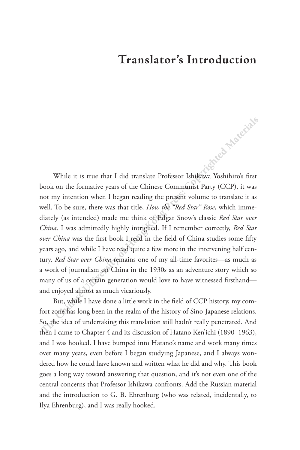## **Translator's Introduction**

While it is true that I did translate Professor Ishikawa Yoshihiro's first book on the formative years of the Chinese Communist Party (CCP), it was not my intention when I began reading the present volume to translate it as well. To be sure, there was that title, *How the "Red Star" Rose*, which immediately (as intended) made me think of Edgar Snow's classic *Red Star over China*. I was admittedly highly intrigued. If I remember correctly, *Red Star over China* was the first book I read in the field of China studies some fifty years ago, and while I have read quite a few more in the intervening half century, *Red Star over China* remains one of my all-time favorites—as much as a work of journalism on China in the 1930s as an adventure story which so many of us of a certain generation would love to have witnessed firsthand and enjoyed almost as much vicariously. While it is true that I did translate Professor Ishikawa Yoshihiro's first<br>book on the formative years of the Chinese Communist Party (CCP), it was<br>not my intention when I began reading the pressent volume to translate it

But, while I have done a little work in the field of CCP history, my comfort zone has long been in the realm of the history of Sino-Japanese relations. So, the idea of undertaking this translation still hadn't really penetrated. And then I came to Chapter 4 and its discussion of Hatano Ken'ichi (1890–1963), and I was hooked. I have bumped into Hatano's name and work many times over many years, even before I began studying Japanese, and I always wondered how he could have known and written what he did and why. This book goes a long way toward answering that question, and it's not even one of the central concerns that Professor Ishikawa confronts. Add the Russian material and the introduction to G. B. Ehrenburg (who was related, incidentally, to Ilya Ehrenburg), and I was really hooked.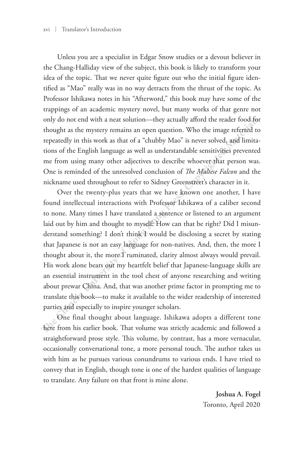Unless you are a specialist in Edgar Snow studies or a devout believer in the Chang-Halliday view of the subject, this book is likely to transform your idea of the topic. That we never quite figure out who the initial figure identified as "Mao" really was in no way detracts from the thrust of the topic. As Professor Ishikawa notes in his "Afterword," this book may have some of the trappings of an academic mystery novel, but many works of that genre not only do not end with a neat solution—they actually afford the reader food for thought as the mystery remains an open question. Who the image referred to repeatedly in this work as that of a "chubby Mao" is never solved, and limitations of the English language as well as understandable sensitivities prevented me from using many other adjectives to describe whoever that person was. One is reminded of the unresolved conclusion of *The Maltese Falcon* and the nickname used throughout to refer to Sidney Greenstreet's character in it.

Over the twenty-plus years that we have known one another, I have found intellectual interactions with Professor Ishikawa of a caliber second to none. Many times I have translated a sentence or listened to an argument laid out by him and thought to myself: How can that be right? Did I misunderstand something? I don't think I would be disclosing a secret by stating that Japanese is not an easy language for non-natives. And, then, the more I thought about it, the more I ruminated, clarity almost always would prevail. His work alone bears out my heartfelt belief that Japanese-language skills are an essential instrument in the tool chest of anyone researching and writing about prewar China. And, that was another prime factor in prompting me to translate this book—to make it available to the wider readership of interested parties and especially to inspire younger scholars. Professor Ishikawa notes in his "Afterword," this book may have some of the trappings of an academic mystery novel, but many works of that gene not only olo not end with a neat solution—they actually afford the reader food

One final thought about language. Ishikawa adopts a different tone here from his earlier book. That volume was strictly academic and followed a straightforward prose style. This volume, by contrast, has a more vernacular, occasionally conversational tone, a more personal touch. The author takes us with him as he pursues various conundrums to various ends. I have tried to convey that in English, though tone is one of the hardest qualities of language to translate. Any failure on that front is mine alone.

> **Joshua A. Fogel** Toronto, April 2020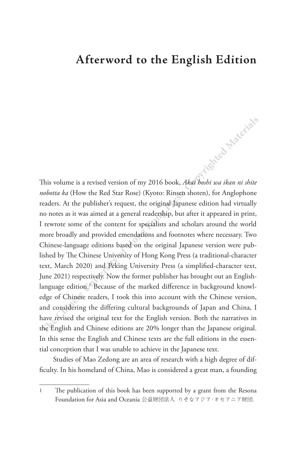## **Afterword to the English Edition**

This volume is a revised version of my 2016 book, *Akai hoshi wa ikan ni shite nobotta ka* (How the Red Star Rose) (Kyoto: Rinsen shoten), for Anglophone readers. At the publisher's request, the original Japanese edition had virtually no notes as it was aimed at a general readership, but after it appeared in print, I rewrote some of the content for specialists and scholars around the world more broadly and provided emendations and footnotes where necessary. Two Chinese-language editions based on the original Japanese version were published by The Chinese University of Hong Kong Press (a traditional-character text, March 2020) and Peking University Press (a simplified-character text, June 2021) respectively. Now the former publisher has brought out an Englishlanguage edition.<sup>1</sup> Because of the marked difference in background knowledge of Chinese readers, I took this into account with the Chinese version, and considering the differing cultural backgrounds of Japan and China, I have revised the original text for the English version. Both the narratives in the English and Chinese editions are 20% longer than the Japanese original. In this sense the English and Chinese texts are the full editions in the essential conception that I was unable to achieve in the Japanese text. This volume is a revised version of my 2016 book, *Akaj hobii wa ikan ni shit*<br> *nobotta ka* (How the Red Star Rose) (Kyoto: Rinsen shoten), for Anglophone<br>
readers. At the publisher's request, the original Japanese editio

Studies of Mao Zedong are an area of research with a high degree of difficulty. In his homeland of China, Mao is considered a great man, a founding

<sup>1</sup> The publication of this book has been supported by a grant from the Resona Foundation for Asia and Oceania 公益財団法人 りそなアジア・オセアニア財団.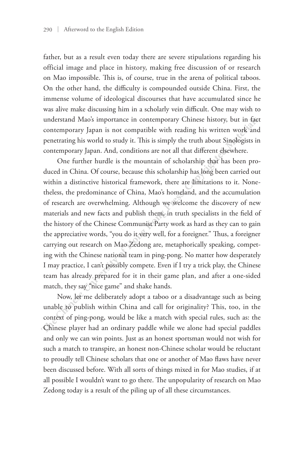father, but as a result even today there are severe stipulations regarding his official image and place in history, making free discussion of or research on Mao impossible. This is, of course, true in the arena of political taboos. On the other hand, the difficulty is compounded outside China. First, the immense volume of ideological discourses that have accumulated since he was alive make discussing him in a scholarly vein difficult. One may wish to understand Mao's importance in contemporary Chinese history, but in fact contemporary Japan is not compatible with reading his written work and penetrating his world to study it. This is simply the truth about Sinologists in contemporary Japan. And, conditions are not all that different elsewhere.

One further hurdle is the mountain of scholarship that has been produced in China. Of course, because this scholarship has long been carried out within a distinctive historical framework, there are limitations to it. Nonetheless, the predominance of China, Mao's homeland, and the accumulation of research are overwhelming. Although we welcome the discovery of new materials and new facts and publish them, in truth specialists in the field of the history of the Chinese Communist Party work as hard as they can to gain the appreciative words, "you do it very well, for a foreigner." Thus, a foreigner carrying out research on Mao Zedong are, metaphorically speaking, competing with the Chinese national team in ping-pong. No matter how desperately I may practice, I can't possibly compete. Even if I try a trick play, the Chinese team has already prepared for it in their game plan, and after a one-sided match, they say "nice game" and shake hands. immense volume of ideological discourses that have accumulated since he was alive make discussing him in a scholarly vein difficult. One may wish to understand Mao's importance in contemporary Japan is not compatible with

Now, let me deliberately adopt a taboo or a disadvantage such as being unable to publish within China and call for originality? This, too, in the context of ping-pong, would be like a match with special rules, such as: the Chinese player had an ordinary paddle while we alone had special paddles and only we can win points. Just as an honest sportsman would not wish for such a match to transpire, an honest non-Chinese scholar would be reluctant to proudly tell Chinese scholars that one or another of Mao flaws have never been discussed before. With all sorts of things mixed in for Mao studies, if at all possible I wouldn't want to go there. The unpopularity of research on Mao Zedong today is a result of the piling up of all these circumstances.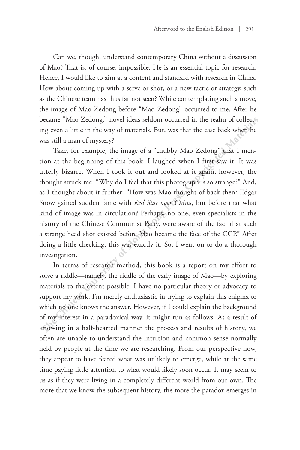Can we, though, understand contemporary China without a discussion of Mao? That is, of course, impossible. He is an essential topic for research. Hence, I would like to aim at a content and standard with research in China. How about coming up with a serve or shot, or a new tactic or strategy, such as the Chinese team has thus far not seen? While contemplating such a move, the image of Mao Zedong before "Mao Zedong" occurred to me. After he became "Mao Zedong," novel ideas seldom occurred in the realm of collecting even a little in the way of materials. But, was that the case back when he was still a man of mystery?

Take, for example, the image of a "chubby Mao Zedong" that I mention at the beginning of this book. I laughed when I first saw it. It was utterly bizarre. When I took it out and looked at it again, however, the thought struck me: "Why do I feel that this photograph is so strange?" And, as I thought about it further: "How was Mao thought of back then? Edgar Snow gained sudden fame with *Red Star over China*, but before that what kind of image was in circulation? Perhaps, no one, even specialists in the history of the Chinese Communist Party, were aware of the fact that such a strange head shot existed before Mao became the face of the CCP." After doing a little checking, this was exactly it. So, I went on to do a thorough investigation. as the Chinese team has thus far not seen? While contemplating such a move, the image of Mao Zedong" once "Mao Zedong" occurred io me. After he became "Mao Zedong" occurred in the realm of collecting even a little in the w

In terms of research method, this book is a report on my effort to solve a riddle—namely, the riddle of the early image of Mao—by exploring materials to the extent possible. I have no particular theory or advocacy to support my work. I'm merely enthusiastic in trying to explain this enigma to which no one knows the answer. However, if I could explain the background of my interest in a paradoxical way, it might run as follows. As a result of knowing in a half-hearted manner the process and results of history, we often are unable to understand the intuition and common sense normally held by people at the time we are researching. From our perspective now, they appear to have feared what was unlikely to emerge, while at the same time paying little attention to what would likely soon occur. It may seem to us as if they were living in a completely different world from our own. The more that we know the subsequent history, the more the paradox emerges in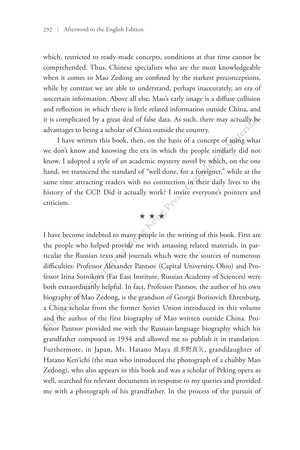which, restricted to ready-made concepts, conditions at that time cannot be comprehended. Thus, Chinese specialists who are the most knowledgeable when it comes to Mao Zedong are confined by the starkest preconceptions, while by contrast we are able to understand, perhaps inaccurately, an era of uncertain information. Above all else, Mao's early image is a diffuse collision and reflection in which there is little related information outside China, and it is complicated by a great deal of false data. As such, there may actually be advantages to being a scholar of China outside the country.

I have written this book, then, on the basis of a concept of using what we don't know and knowing the era in which the people similarly did not know. I adopted a style of an academic mystery novel by which, on the one hand, we transcend the standard of "well done, for a foreigner," while at the same time attracting readers with no connection in their daily lives to the history of the CCP. Did it actually work? I invite everyone's pointers and criticism.



I have become indebted to many people in the writing of this book. First are the people who helped provide me with amassing related materials, in particular the Russian texts and journals which were the sources of numerous difficulties: Professor Alexander Pantsov (Capital University, Ohio) and Professor Irina Sotnikova (Far East Institute, Russian Academy of Sciences) were both extraordinarily helpful. In fact, Professor Pantsov, the author of his own biography of Mao Zedong, is the grandson of Georgii Borisovich Ehrenburg, a China scholar from the former Soviet Union introduced in this volume and the author of the first biography of Mao written outside China. Professor Pantsov provided me with the Russian-language biography which his grandfather composed in 1934 and allowed me to publish it in translation. Furthermore, in Japan, Ms. Hatano Maya 波多野真矢, granddaughter of Hatano Ken'ichi (the man who introduced the photograph of a chubby Mao Zedong), who also appears in this book and was a scholar of Peking opera as well, searched for relevant documents in response to my queries and provided me with a photograph of his grandfather. In the process of the pursuit of uncertain information. Above all else, Mao's early image is a diffuse collision<br>and reflection in which there is little related information outside China, and<br>it is complicated by a great deal of false data. As such, there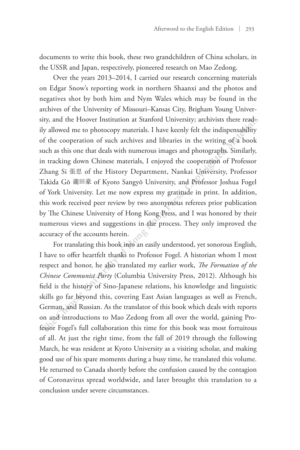documents to write this book, these two grandchildren of China scholars, in the USSR and Japan, respectively, pioneered research on Mao Zedong.

Over the years 2013–2014, I carried our research concerning materials on Edgar Snow's reporting work in northern Shaanxi and the photos and negatives shot by both him and Nym Wales which may be found in the archives of the University of Missouri–Kansas City, Brigham Young University, and the Hoover Institution at Stanford University; archivists there readily allowed me to photocopy materials. I have keenly felt the indispensability of the cooperation of such archives and libraries in the writing of a book such as this one that deals with numerous images and photographs. Similarly, in tracking down Chinese materials, I enjoyed the cooperation of Professor Zhang Si 張思 of the History Department, Nankai University, Professor Takida Gō 瀧田豪 of Kyoto Sangyō University, and Professor Joshua Fogel of York University. Let me now express my gratitude in print. In addition, this work received peer review by two anonymous referees prior publication by The Chinese University of Hong Kong Press, and I was honored by their numerous views and suggestions in the process. They only improved the accuracy of the accounts herein. negatives shot by both him and Nym Wales which may be found in the archives of the University of Missouri-Kansas City, Brigham Young University; and the Hoover Institution at Stanford University; archivist three readily al

For translating this book into an easily understood, yet sonorous English, I have to offer heartfelt thanks to Professor Fogel. A historian whom I most respect and honor, he also translated my earlier work, *The Formation of the Chinese Communist Party* (Columbia University Press, 2012). Although his field is the history of Sino-Japanese relations, his knowledge and linguistic skills go far beyond this, covering East Asian languages as well as French, German, and Russian. As the translator of this book which deals with reports on and introductions to Mao Zedong from all over the world, gaining Professor Fogel's full collaboration this time for this book was most fortuitous of all. At just the right time, from the fall of 2019 through the following March, he was resident at Kyoto University as a visiting scholar, and making good use of his spare moments during a busy time, he translated this volume. He returned to Canada shortly before the confusion caused by the contagion of Coronavirus spread worldwide, and later brought this translation to a conclusion under severe circumstances.